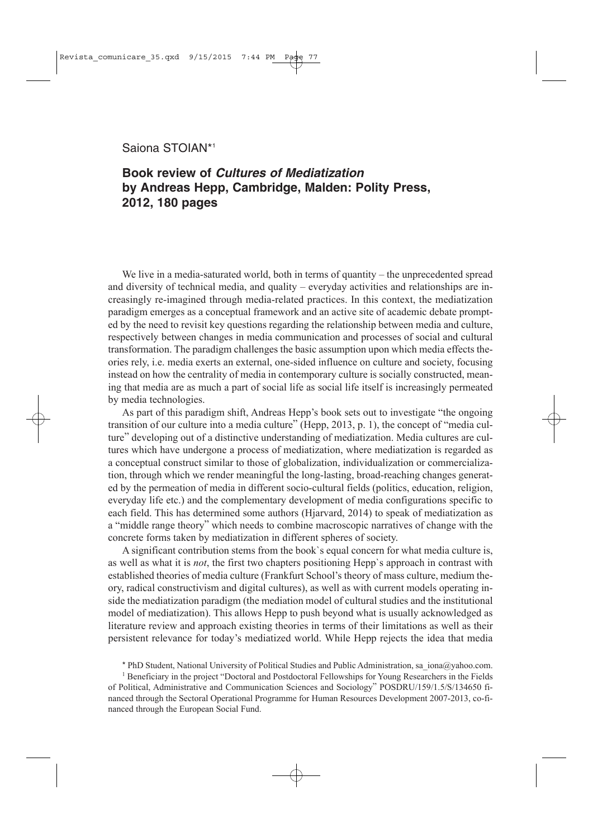## Saiona STOIAN\*1

## **Book review of** *Cultures of Mediatization* **by Andreas Hepp, Cambridge, Malden: Polity Press, 2012, 180 pages**

We live in a media-saturated world, both in terms of quantity – the unprecedented spread and diversity of technical media, and quality – everyday activities and relationships are increasingly re-imagined through media-related practices. In this context, the mediatization paradigm emerges as a conceptual framework and an active site of academic debate prompted by the need to revisit key questions regarding the relationship between media and culture, respectively between changes in media communication and processes of social and cultural transformation. The paradigm challenges the basic assumption upon which media effects theories rely, i.e. media exerts an external, one-sided influence on culture and society, focusing instead on how the centrality of media in contemporary culture is socially constructed, meaning that media are as much a part of social life as social life itself is increasingly permeated by media technologies.

As part of this paradigm shift, Andreas Hepp's book sets out to investigate "the ongoing transition of our culture into a media culture" (Hepp, 2013, p. 1), the concept of "media culture" developing out of a distinctive understanding of mediatization. Media cultures are cultures which have undergone a process of mediatization, where mediatization is regarded as a conceptual construct similar to those of globalization, individualization or commercialization, through which we render meaningful the long-lasting, broad-reaching changes generated by the permeation of media in different socio-cultural fields (politics, education, religion, everyday life etc.) and the complementary development of media configurations specific to each field. This has determined some authors (Hjarvard, 2014) to speak of mediatization as a "middle range theory" which needs to combine macroscopic narratives of change with the concrete forms taken by mediatization in different spheres of society.

A significant contribution stems from the book`s equal concern for what media culture is, as well as what it is *not*, the first two chapters positioning Hepp`s approach in contrast with established theories of media culture (Frankfurt School's theory of mass culture, medium theory, radical constructivism and digital cultures), as well as with current models operating inside the mediatization paradigm (the mediation model of cultural studies and the institutional model of mediatization). This allows Hepp to push beyond what is usually acknowledged as literature review and approach existing theories in terms of their limitations as well as their persistent relevance for today's mediatized world. While Hepp rejects the idea that media

\* PhD Student, National University of Political Studies and Public Administration, sa\_iona@yahoo.com.

<sup>1</sup> Beneficiary in the project "Doctoral and Postdoctoral Fellowships for Young Researchers in the Fields of Political, Administrative and Communication Sciences and Sociology" POSDRU/159/1.5/S/134650 financed through the Sectoral Operational Programme for Human Resources Development 2007-2013, co-financed through the European Social Fund.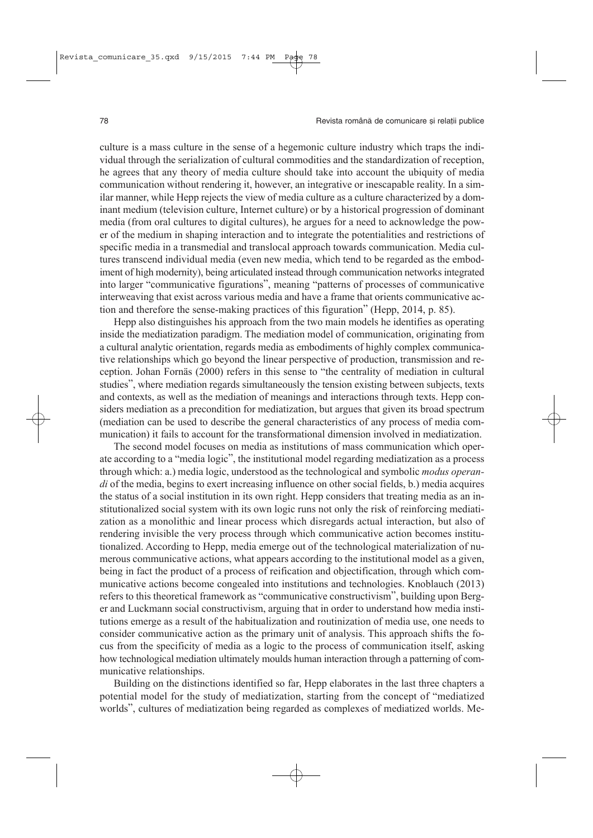culture is a mass culture in the sense of a hegemonic culture industry which traps the individual through the serialization of cultural commodities and the standardization of reception, he agrees that any theory of media culture should take into account the ubiquity of media communication without rendering it, however, an integrative or inescapable reality. In a similar manner, while Hepp rejects the view of media culture as a culture characterized by a dominant medium (television culture, Internet culture) or by a historical progression of dominant media (from oral cultures to digital cultures), he argues for a need to acknowledge the power of the medium in shaping interaction and to integrate the potentialities and restrictions of specific media in a transmedial and translocal approach towards communication. Media cultures transcend individual media (even new media, which tend to be regarded as the embodiment of high modernity), being articulated instead through communication networks integrated into larger "communicative figurations", meaning "patterns of processes of communicative interweaving that exist across various media and have a frame that orients communicative action and therefore the sense-making practices of this figuration" (Hepp, 2014, p. 85).

Hepp also distinguishes his approach from the two main models he identifies as operating inside the mediatization paradigm. The mediation model of communication, originating from a cultural analytic orientation, regards media as embodiments of highly complex communicative relationships which go beyond the linear perspective of production, transmission and reception. Johan Fornäs (2000) refers in this sense to "the centrality of mediation in cultural studies", where mediation regards simultaneously the tension existing between subjects, texts and contexts, as well as the mediation of meanings and interactions through texts. Hepp considers mediation as a precondition for mediatization, but argues that given its broad spectrum (mediation can be used to describe the general characteristics of any process of media communication) it fails to account for the transformational dimension involved in mediatization.

The second model focuses on media as institutions of mass communication which operate according to a "media logic", the institutional model regarding mediatization as a process through which: a.) media logic, understood as the technological and symbolic *modus operandi* of the media, begins to exert increasing influence on other social fields, b.) media acquires the status of a social institution in its own right. Hepp considers that treating media as an institutionalized social system with its own logic runs not only the risk of reinforcing mediatization as a monolithic and linear process which disregards actual interaction, but also of rendering invisible the very process through which communicative action becomes institutionalized. According to Hepp, media emerge out of the technological materialization of numerous communicative actions, what appears according to the institutional model as a given, being in fact the product of a process of reification and objectification, through which communicative actions become congealed into institutions and technologies. Knoblauch (2013) refers to this theoretical framework as "communicative constructivism", building upon Berger and Luckmann social constructivism, arguing that in order to understand how media institutions emerge as a result of the habitualization and routinization of media use, one needs to consider communicative action as the primary unit of analysis. This approach shifts the focus from the specificity of media as a logic to the process of communication itself, asking how technological mediation ultimately moulds human interaction through a patterning of communicative relationships.

Building on the distinctions identified so far, Hepp elaborates in the last three chapters a potential model for the study of mediatization, starting from the concept of "mediatized worlds", cultures of mediatization being regarded as complexes of mediatized worlds. Me-